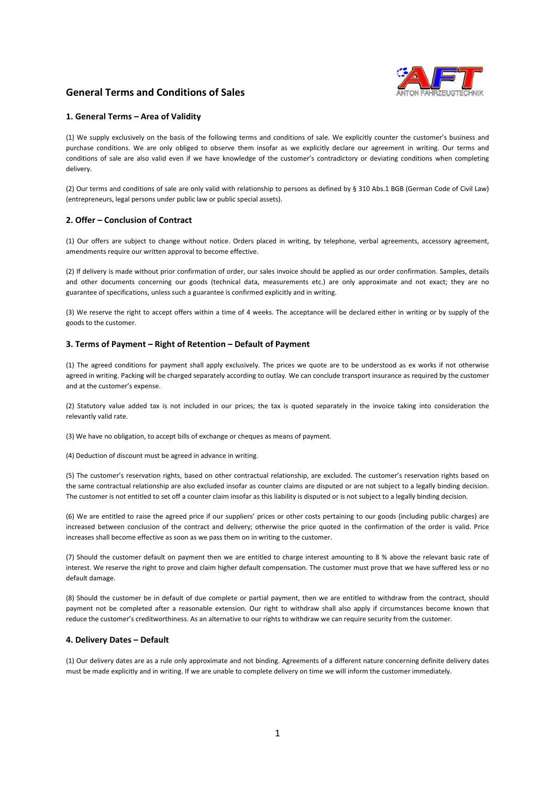# **General Terms and Conditions of Sales**



## **1. General Terms – Area of Validity**

(1) We supply exclusively on the basis of the following terms and conditions of sale. We explicitly counter the customer's business and purchase conditions. We are only obliged to observe them insofar as we explicitly declare our agreement in writing. Our terms and conditions of sale are also valid even if we have knowledge of the customer's contradictory or deviating conditions when completing delivery.

(2) Our terms and conditions of sale are only valid with relationship to persons as defined by § 310 Abs.1 BGB (German Code of Civil Law) (entrepreneurs, legal persons under public law or public special assets).

## **2. Offer – Conclusion of Contract**

(1) Our offers are subject to change without notice. Orders placed in writing, by telephone, verbal agreements, accessory agreement, amendments require our written approval to become effective.

(2) If delivery is made without prior confirmation of order, our sales invoice should be applied as our order confirmation. Samples, details and other documents concerning our goods (technical data, measurements etc.) are only approximate and not exact; they are no guarantee of specifications, unless such a guarantee is confirmed explicitly and in writing.

(3) We reserve the right to accept offers within a time of 4 weeks. The acceptance will be declared either in writing or by supply of the goods to the customer.

## **3. Terms of Payment – Right of Retention – Default of Payment**

(1) The agreed conditions for payment shall apply exclusively. The prices we quote are to be understood as ex works if not otherwise agreed in writing. Packing will be charged separately according to outlay. We can conclude transport insurance as required by the customer and at the customer's expense.

(2) Statutory value added tax is not included in our prices; the tax is quoted separately in the invoice taking into consideration the relevantly valid rate.

(3) We have no obligation, to accept bills of exchange or cheques as means of payment.

(4) Deduction of discount must be agreed in advance in writing.

(5) The customer's reservation rights, based on other contractual relationship, are excluded. The customer's reservation rights based on the same contractual relationship are also excluded insofar as counter claims are disputed or are not subject to a legally binding decision. The customer is not entitled to set off a counter claim insofar as this liability is disputed or is not subject to a legally binding decision.

(6) We are entitled to raise the agreed price if our suppliers' prices or other costs pertaining to our goods (including public charges) are increased between conclusion of the contract and delivery; otherwise the price quoted in the confirmation of the order is valid. Price increases shall become effective as soon as we pass them on in writing to the customer.

(7) Should the customer default on payment then we are entitled to charge interest amounting to 8 % above the relevant basic rate of interest. We reserve the right to prove and claim higher default compensation. The customer must prove that we have suffered less or no default damage.

(8) Should the customer be in default of due complete or partial payment, then we are entitled to withdraw from the contract, should payment not be completed after a reasonable extension. Our right to withdraw shall also apply if circumstances become known that reduce the customer's creditworthiness. As an alternative to our rights to withdraw we can require security from the customer.

#### **4. Delivery Dates – Default**

(1) Our delivery dates are as a rule only approximate and not binding. Agreements of a different nature concerning definite delivery dates must be made explicitly and in writing. If we are unable to complete delivery on time we will inform the customer immediately.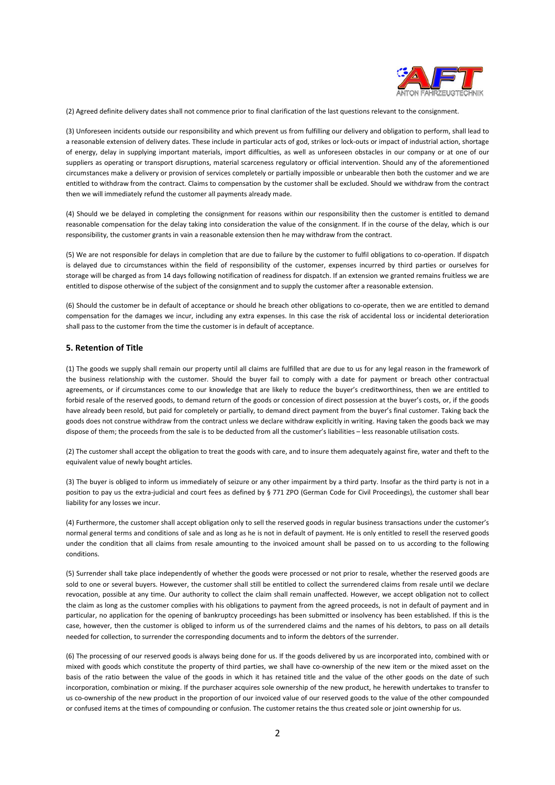

(2) Agreed definite delivery dates shall not commence prior to final clarification of the last questions relevant to the consignment.

(3) Unforeseen incidents outside our responsibility and which prevent us from fulfilling our delivery and obligation to perform, shall lead to a reasonable extension of delivery dates. These include in particular acts of god, strikes or lock-outs or impact of industrial action, shortage of energy, delay in supplying important materials, import difficulties, as well as unforeseen obstacles in our company or at one of our suppliers as operating or transport disruptions, material scarceness regulatory or official intervention. Should any of the aforementioned circumstances make a delivery or provision of services completely or partially impossible or unbearable then both the customer and we are entitled to withdraw from the contract. Claims to compensation by the customer shall be excluded. Should we withdraw from the contract then we will immediately refund the customer all payments already made.

(4) Should we be delayed in completing the consignment for reasons within our responsibility then the customer is entitled to demand reasonable compensation for the delay taking into consideration the value of the consignment. If in the course of the delay, which is our responsibility, the customer grants in vain a reasonable extension then he may withdraw from the contract.

(5) We are not responsible for delays in completion that are due to failure by the customer to fulfil obligations to co-operation. If dispatch is delayed due to circumstances within the field of responsibility of the customer, expenses incurred by third parties or ourselves for storage will be charged as from 14 days following notification of readiness for dispatch. If an extension we granted remains fruitless we are entitled to dispose otherwise of the subject of the consignment and to supply the customer after a reasonable extension.

(6) Should the customer be in default of acceptance or should he breach other obligations to co-operate, then we are entitled to demand compensation for the damages we incur, including any extra expenses. In this case the risk of accidental loss or incidental deterioration shall pass to the customer from the time the customer is in default of acceptance.

## **5. Retention of Title**

(1) The goods we supply shall remain our property until all claims are fulfilled that are due to us for any legal reason in the framework of the business relationship with the customer. Should the buyer fail to comply with a date for payment or breach other contractual agreements, or if circumstances come to our knowledge that are likely to reduce the buyer's creditworthiness, then we are entitled to forbid resale of the reserved goods, to demand return of the goods or concession of direct possession at the buyer's costs, or, if the goods have already been resold, but paid for completely or partially, to demand direct payment from the buyer's final customer. Taking back the goods does not construe withdraw from the contract unless we declare withdraw explicitly in writing. Having taken the goods back we may dispose of them; the proceeds from the sale is to be deducted from all the customer's liabilities – less reasonable utilisation costs.

(2) The customer shall accept the obligation to treat the goods with care, and to insure them adequately against fire, water and theft to the equivalent value of newly bought articles.

(3) The buyer is obliged to inform us immediately of seizure or any other impairment by a third party. Insofar as the third party is not in a position to pay us the extra-judicial and court fees as defined by § 771 ZPO (German Code for Civil Proceedings), the customer shall bear liability for any losses we incur.

(4) Furthermore, the customer shall accept obligation only to sell the reserved goods in regular business transactions under the customer's normal general terms and conditions of sale and as long as he is not in default of payment. He is only entitled to resell the reserved goods under the condition that all claims from resale amounting to the invoiced amount shall be passed on to us according to the following conditions.

(5) Surrender shall take place independently of whether the goods were processed or not prior to resale, whether the reserved goods are sold to one or several buyers. However, the customer shall still be entitled to collect the surrendered claims from resale until we declare revocation, possible at any time. Our authority to collect the claim shall remain unaffected. However, we accept obligation not to collect the claim as long as the customer complies with his obligations to payment from the agreed proceeds, is not in default of payment and in particular, no application for the opening of bankruptcy proceedings has been submitted or insolvency has been established. If this is the case, however, then the customer is obliged to inform us of the surrendered claims and the names of his debtors, to pass on all details needed for collection, to surrender the corresponding documents and to inform the debtors of the surrender.

(6) The processing of our reserved goods is always being done for us. If the goods delivered by us are incorporated into, combined with or mixed with goods which constitute the property of third parties, we shall have co-ownership of the new item or the mixed asset on the basis of the ratio between the value of the goods in which it has retained title and the value of the other goods on the date of such incorporation, combination or mixing. If the purchaser acquires sole ownership of the new product, he herewith undertakes to transfer to us co-ownership of the new product in the proportion of our invoiced value of our reserved goods to the value of the other compounded or confused items at the times of compounding or confusion. The customer retains the thus created sole or joint ownership for us.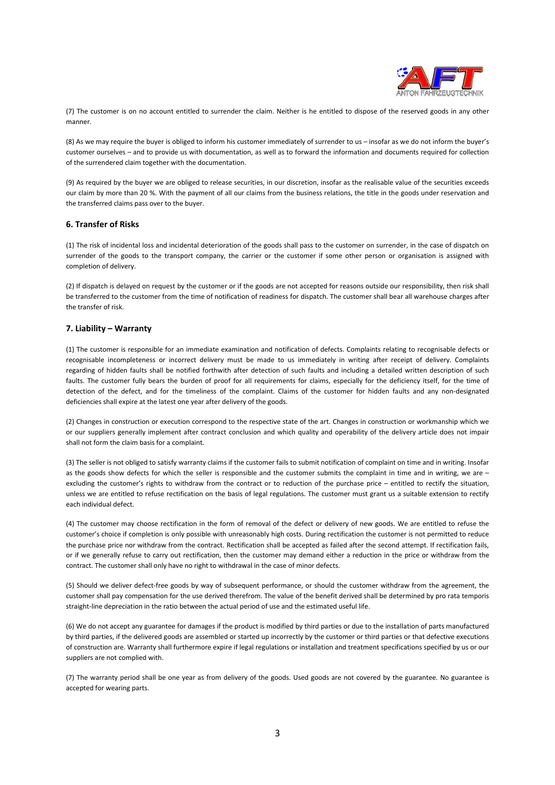

(7) The customer is on no account entitled to surrender the claim. Neither is he entitled to dispose of the reserved goods in any other manner.

(8) As we may require the buyer is obliged to inform his customer immediately of surrender to us – insofar as we do not inform the buyer's customer ourselves – and to provide us with documentation, as well as to forward the information and documents required for collection of the surrendered claim together with the documentation.

(9) As required by the buyer we are obliged to release securities, in our discretion, insofar as the realisable value of the securities exceeds our claim by more than 20 %. With the payment of all our claims from the business relations, the title in the goods under reservation and the transferred claims pass over to the buyer.

## **6. Transfer of Risks**

(1) The risk of incidental loss and incidental deterioration of the goods shall pass to the customer on surrender, in the case of dispatch on surrender of the goods to the transport company, the carrier or the customer if some other person or organisation is assigned with completion of delivery.

(2) If dispatch is delayed on request by the customer or if the goods are not accepted for reasons outside our responsibility, then risk shall be transferred to the customer from the time of notification of readiness for dispatch. The customer shall bear all warehouse charges after the transfer of risk.

# **7. Liability – Warranty**

(1) The customer is responsible for an immediate examination and notification of defects. Complaints relating to recognisable defects or recognisable incompleteness or incorrect delivery must be made to us immediately in writing after receipt of delivery. Complaints regarding of hidden faults shall be notified forthwith after detection of such faults and including a detailed written description of such faults. The customer fully bears the burden of proof for all requirements for claims, especially for the deficiency itself, for the time of detection of the defect, and for the timeliness of the complaint. Claims of the customer for hidden faults and any non-designated deficiencies shall expire at the latest one year after delivery of the goods.

(2) Changes in construction or execution correspond to the respective state of the art. Changes in construction or workmanship which we or our suppliers generally implement after contract conclusion and which quality and operability of the delivery article does not impair shall not form the claim basis for a complaint.

(3) The seller is not obliged to satisfy warranty claims if the customer fails to submit notification of complaint on time and in writing. Insofar as the goods show defects for which the seller is responsible and the customer submits the complaint in time and in writing, we are – excluding the customer's rights to withdraw from the contract or to reduction of the purchase price – entitled to rectify the situation, unless we are entitled to refuse rectification on the basis of legal regulations. The customer must grant us a suitable extension to rectify each individual defect.

(4) The customer may choose rectification in the form of removal of the defect or delivery of new goods. We are entitled to refuse the customer's choice if completion is only possible with unreasonably high costs. During rectification the customer is not permitted to reduce the purchase price nor withdraw from the contract. Rectification shall be accepted as failed after the second attempt. If rectification fails, or if we generally refuse to carry out rectification, then the customer may demand either a reduction in the price or withdraw from the contract. The customer shall only have no right to withdrawal in the case of minor defects.

(5) Should we deliver defect-free goods by way of subsequent performance, or should the customer withdraw from the agreement, the customer shall pay compensation for the use derived therefrom. The value of the benefit derived shall be determined by pro rata temporis straight-line depreciation in the ratio between the actual period of use and the estimated useful life.

(6) We do not accept any guarantee for damages if the product is modified by third parties or due to the installation of parts manufactured by third parties, if the delivered goods are assembled or started up incorrectly by the customer or third parties or that defective executions of construction are. Warranty shall furthermore expire if legal regulations or installation and treatment specifications specified by us or our suppliers are not complied with.

(7) The warranty period shall be one year as from delivery of the goods. Used goods are not covered by the guarantee. No guarantee is accepted for wearing parts.